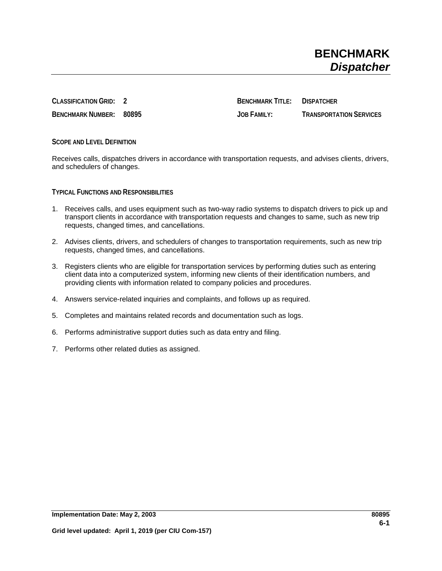**CLASSIFICATION GRID: 2 BENCHMARK TITLE: DISPATCHER BENCHMARK NUMBER: 80895 JOB FAMILY: TRANSPORTATION SERVICES**

**SCOPE AND LEVEL DEFINITION**

Receives calls, dispatches drivers in accordance with transportation requests, and advises clients, drivers, and schedulers of changes.

**TYPICAL FUNCTIONS AND RESPONSIBILITIES**

- 1. Receives calls, and uses equipment such as two-way radio systems to dispatch drivers to pick up and transport clients in accordance with transportation requests and changes to same, such as new trip requests, changed times, and cancellations.
- 2. Advises clients, drivers, and schedulers of changes to transportation requirements, such as new trip requests, changed times, and cancellations.
- 3. Registers clients who are eligible for transportation services by performing duties such as entering client data into a computerized system, informing new clients of their identification numbers, and providing clients with information related to company policies and procedures.
- 4. Answers service-related inquiries and complaints, and follows up as required.
- 5. Completes and maintains related records and documentation such as logs.
- 6. Performs administrative support duties such as data entry and filing.
- 7. Performs other related duties as assigned.